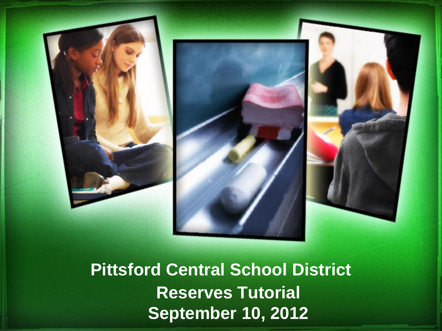



**Pittsford Central School District Reserves Tutorial September 10, 2012**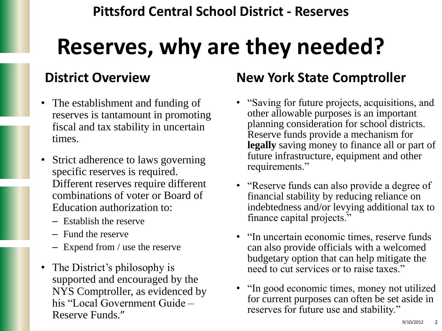## **Reserves, why are they needed?**

### **District Overview**

- The establishment and funding of reserves is tantamount in promoting fiscal and tax stability in uncertain times.
- Strict adherence to laws governing specific reserves is required. Different reserves require different combinations of voter or Board of Education authorization to:
	- Establish the reserve
	- Fund the reserve
	- Expend from / use the reserve
- The District's philosophy is supported and encouraged by the NYS Comptroller, as evidenced by his "Local Government Guide – Reserve Funds."

### **New York State Comptroller**

- "Saving for future projects, acquisitions, and other allowable purposes is an important planning consideration for school districts. Reserve funds provide a mechanism for **legally** saving money to finance all or part of future infrastructure, equipment and other requirements."
- "Reserve funds can also provide a degree of financial stability by reducing reliance on indebtedness and/or levying additional tax to finance capital projects."
- "In uncertain economic times, reserve funds can also provide officials with a welcomed budgetary option that can help mitigate the need to cut services or to raise taxes."
- "In good economic times, money not utilized for current purposes can often be set aside in reserves for future use and stability."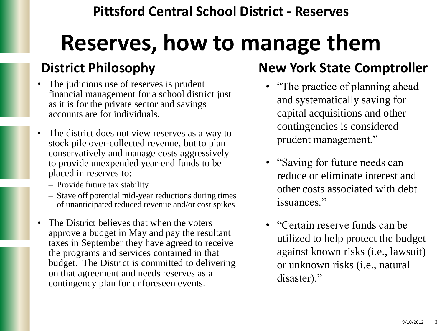## **Reserves, how to manage them**

### **District Philosophy**

- The judicious use of reserves is prudent financial management for a school district just as it is for the private sector and savings accounts are for individuals.
- The district does not view reserves as a way to stock pile over-collected revenue, but to plan conservatively and manage costs aggressively to provide unexpended year-end funds to be placed in reserves to:
	- Provide future tax stability
	- Stave off potential mid-year reductions during times of unanticipated reduced revenue and/or cost spikes
- The District believes that when the voters approve a budget in May and pay the resultant taxes in September they have agreed to receive the programs and services contained in that budget. The District is committed to delivering on that agreement and needs reserves as a contingency plan for unforeseen events.

### **New York State Comptroller**

- "The practice of planning ahead and systematically saving for capital acquisitions and other contingencies is considered prudent management."
- "Saving for future needs can reduce or eliminate interest and other costs associated with debt issuances."
- "Certain reserve funds can be utilized to help protect the budget against known risks (i.e., lawsuit) or unknown risks (i.e., natural disaster)."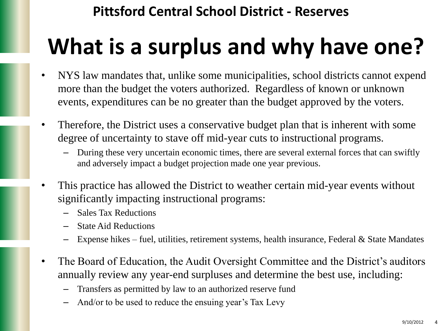# **What is a surplus and why have one?**

- NYS law mandates that, unlike some municipalities, school districts cannot expend more than the budget the voters authorized. Regardless of known or unknown events, expenditures can be no greater than the budget approved by the voters.
- Therefore, the District uses a conservative budget plan that is inherent with some degree of uncertainty to stave off mid-year cuts to instructional programs.
	- During these very uncertain economic times, there are several external forces that can swiftly and adversely impact a budget projection made one year previous.
- This practice has allowed the District to weather certain mid-year events without significantly impacting instructional programs:
	- Sales Tax Reductions
	- State Aid Reductions
	- Expense hikes fuel, utilities, retirement systems, health insurance, Federal & State Mandates
- The Board of Education, the Audit Oversight Committee and the District's auditors annually review any year-end surpluses and determine the best use, including:
	- Transfers as permitted by law to an authorized reserve fund
	- And/or to be used to reduce the ensuing year's Tax Levy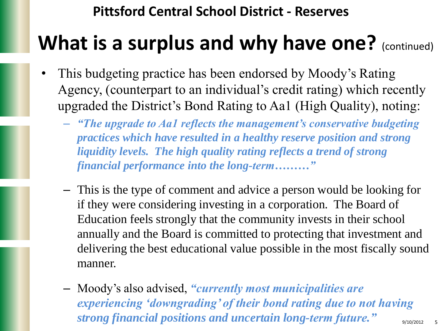## **What is a surplus and why have one?** (continued)

- This budgeting practice has been endorsed by Moody's Rating Agency, (counterpart to an individual's credit rating) which recently upgraded the District's Bond Rating to Aa1 (High Quality), noting:
	- *"The upgrade to Aa1 reflects the management"s conservative budgeting practices which have resulted in a healthy reserve position and strong liquidity levels. The high quality rating reflects a trend of strong financial performance into the long-term………"*
	- This is the type of comment and advice a person would be looking for if they were considering investing in a corporation. The Board of Education feels strongly that the community invests in their school annually and the Board is committed to protecting that investment and delivering the best educational value possible in the most fiscally sound manner.
	- Moody's also advised, *"currently most municipalities are experiencing "downgrading" of their bond rating due to not having strong financial positions and uncertain long-term future.*"  $\frac{9}{100/2012}$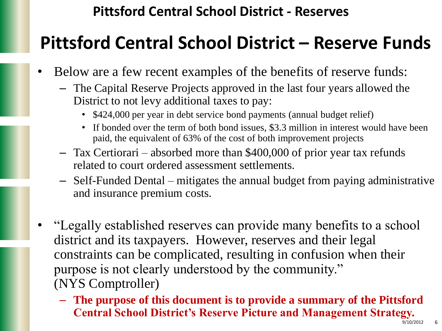### **Pittsford Central School District – Reserve Funds**

- Below are a few recent examples of the benefits of reserve funds:
	- The Capital Reserve Projects approved in the last four years allowed the District to not levy additional taxes to pay:
		- \$424,000 per year in debt service bond payments (annual budget relief)
		- If bonded over the term of both bond issues, \$3.3 million in interest would have been paid, the equivalent of 63% of the cost of both improvement projects
	- Tax Certiorari absorbed more than \$400,000 of prior year tax refunds related to court ordered assessment settlements.
	- Self-Funded Dental mitigates the annual budget from paying administrative and insurance premium costs.
- "Legally established reserves can provide many benefits to a school district and its taxpayers. However, reserves and their legal constraints can be complicated, resulting in confusion when their purpose is not clearly understood by the community." (NYS Comptroller)
	- **The purpose of this document is to provide a summary of the Pittsford Central School District's Reserve Picture and Management Strategy.**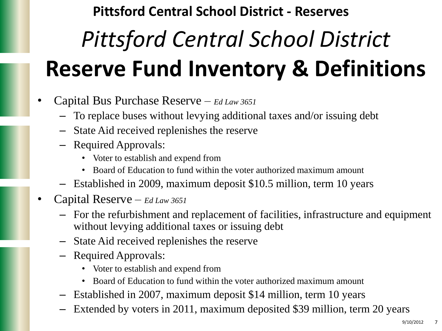# *Pittsford Central School District*  **Reserve Fund Inventory & Definitions**

- Capital Bus Purchase Reserve *Ed Law 3651*
	- To replace buses without levying additional taxes and/or issuing debt
	- State Aid received replenishes the reserve
	- Required Approvals:
		- Voter to establish and expend from
		- Board of Education to fund within the voter authorized maximum amount
	- Established in 2009, maximum deposit \$10.5 million, term 10 years
- Capital Reserve *Ed Law 3651*
	- For the refurbishment and replacement of facilities, infrastructure and equipment without levying additional taxes or issuing debt
	- State Aid received replenishes the reserve
	- Required Approvals:
		- Voter to establish and expend from
		- Board of Education to fund within the voter authorized maximum amount
	- Established in 2007, maximum deposit \$14 million, term 10 years
	- Extended by voters in 2011, maximum deposited \$39 million, term 20 years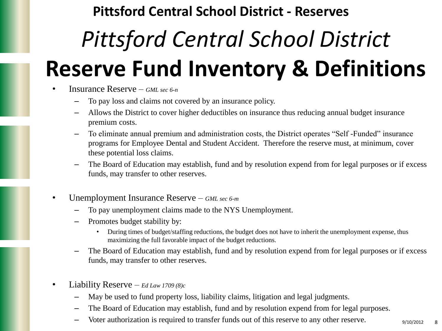# *Pittsford Central School District*  **Reserve Fund Inventory & Definitions**

- Insurance Reserve *GML sec 6-n*
	- To pay loss and claims not covered by an insurance policy.
	- Allows the District to cover higher deductibles on insurance thus reducing annual budget insurance premium costs.
	- To eliminate annual premium and administration costs, the District operates "Self -Funded" insurance programs for Employee Dental and Student Accident. Therefore the reserve must, at minimum, cover these potential loss claims.
	- The Board of Education may establish, fund and by resolution expend from for legal purposes or if excess funds, may transfer to other reserves.
- Unemployment Insurance Reserve *GML sec 6-m*
	- To pay unemployment claims made to the NYS Unemployment.
	- Promotes budget stability by:
		- During times of budget/staffing reductions, the budget does not have to inherit the unemployment expense, thus maximizing the full favorable impact of the budget reductions.
	- The Board of Education may establish, fund and by resolution expend from for legal purposes or if excess funds, may transfer to other reserves.
- Liability Reserve *Ed Law 1709 (8)c*
	- May be used to fund property loss, liability claims, litigation and legal judgments.
	- The Board of Education may establish, fund and by resolution expend from for legal purposes.
	- Voter authorization is required to transfer funds out of this reserve to any other reserve.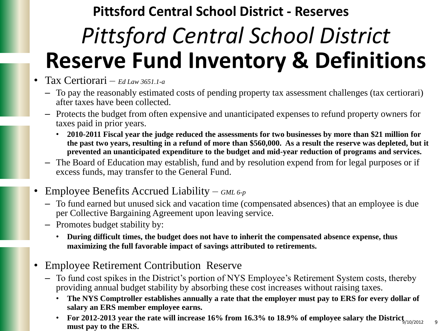## *Pittsford Central School District*  **Reserve Fund Inventory & Definitions Pittsford Central School District - Reserves**

- Tax Certiorari *Ed Law 3651.1-a*
	- To pay the reasonably estimated costs of pending property tax assessment challenges (tax certiorari) after taxes have been collected.
	- Protects the budget from often expensive and unanticipated expenses to refund property owners for taxes paid in prior years.
		- **2010-2011 Fiscal year the judge reduced the assessments for two businesses by more than \$21 million for the past two years, resulting in a refund of more than \$560,000. As a result the reserve was depleted, but it prevented an unanticipated expenditure to the budget and mid-year reduction of programs and services.**
	- The Board of Education may establish, fund and by resolution expend from for legal purposes or if excess funds, may transfer to the General Fund.
- Employee Benefits Accrued Liability *GML 6-p*
	- To fund earned but unused sick and vacation time (compensated absences) that an employee is due per Collective Bargaining Agreement upon leaving service.
	- Promotes budget stability by:
		- **During difficult times, the budget does not have to inherit the compensated absence expense, thus maximizing the full favorable impact of savings attributed to retirements.**
- Employee Retirement Contribution Reserve
	- To fund cost spikes in the District's portion of NYS Employee's Retirement System costs, thereby providing annual budget stability by absorbing these cost increases without raising taxes.
		- **The NYS Comptroller establishes annually a rate that the employer must pay to ERS for every dollar of salary an ERS member employee earns.**
		- **For 2012-2013 year the rate will increase 16% from 16.3% to 18.9% of employee salary the District**  $\frac{1}{9}$   $\frac{10}{2012}$ **must pay to the ERS.**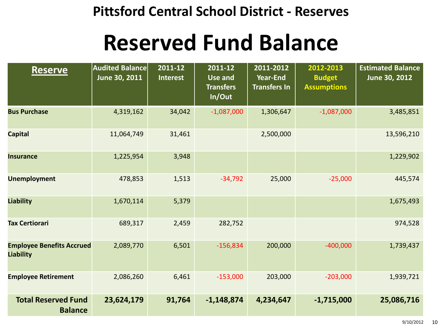## **Reserved Fund Balance**

| <b>Reserve</b>                                       | <b>Audited Balance</b><br>June 30, 2011 | 2011-12<br><b>Interest</b> | 2011-12<br><b>Use and</b><br><b>Transfers</b><br>In/Out | 2011-2012<br><b>Year-End</b><br><b>Transfers In</b> | 2012-2013<br><b>Budget</b><br><b>Assumptions</b> | <b>Estimated Balance</b><br>June 30, 2012 |
|------------------------------------------------------|-----------------------------------------|----------------------------|---------------------------------------------------------|-----------------------------------------------------|--------------------------------------------------|-------------------------------------------|
| <b>Bus Purchase</b>                                  | 4,319,162                               | 34,042                     | $-1,087,000$                                            | 1,306,647                                           | $-1,087,000$                                     | 3,485,851                                 |
| <b>Capital</b>                                       | 11,064,749                              | 31,461                     |                                                         | 2,500,000                                           |                                                  | 13,596,210                                |
| <b>Insurance</b>                                     | 1,225,954                               | 3,948                      |                                                         |                                                     |                                                  | 1,229,902                                 |
| <b>Unemployment</b>                                  | 478,853                                 | 1,513                      | $-34,792$                                               | 25,000                                              | $-25,000$                                        | 445,574                                   |
| <b>Liability</b>                                     | 1,670,114                               | 5,379                      |                                                         |                                                     |                                                  | 1,675,493                                 |
| <b>Tax Certiorari</b>                                | 689,317                                 | 2,459                      | 282,752                                                 |                                                     |                                                  | 974,528                                   |
| <b>Employee Benefits Accrued</b><br><b>Liability</b> | 2,089,770                               | 6,501                      | $-156,834$                                              | 200,000                                             | $-400,000$                                       | 1,739,437                                 |
| <b>Employee Retirement</b>                           | 2,086,260                               | 6,461                      | $-153,000$                                              | 203,000                                             | $-203,000$                                       | 1,939,721                                 |
| <b>Total Reserved Fund</b><br><b>Balance</b>         | 23,624,179                              | 91,764                     | $-1,148,874$                                            | 4,234,647                                           | $-1,715,000$                                     | 25,086,716                                |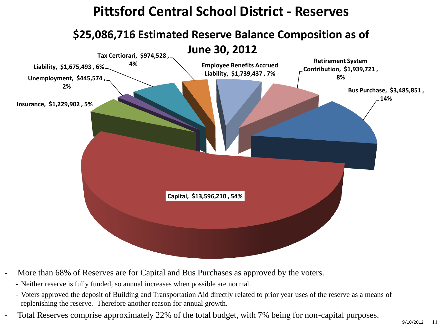

- More than 68% of Reserves are for Capital and Bus Purchases as approved by the voters.
	- Neither reserve is fully funded, so annual increases when possible are normal.
	- Voters approved the deposit of Building and Transportation Aid directly related to prior year uses of the reserve as a means of replenishing the reserve. Therefore another reason for annual growth.
- Total Reserves comprise approximately 22% of the total budget, with 7% being for non-capital purposes.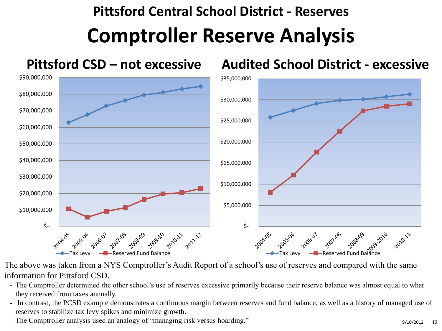## **Comptroller Reserve Analysis Pittsford Central School District - Reserves**



The above was taken from a NYS Comptroller's Audit Report of a school's use of reserves and compared with the same information for Pittsford CSD.

- The Comptroller determined the other school's use of reserves excessive primarily because their reserve balance was almost equal to what they received from taxes annually.
- In contrast, the PCSD example demonstrates a continuous margin between reserves and fund balance, as well as a history of managed use of reserves to stabilize tax levy spikes and minimize growth.
- The Comptroller analysis used an analogy of "managing risk versus hoarding." 9/10/2012 12